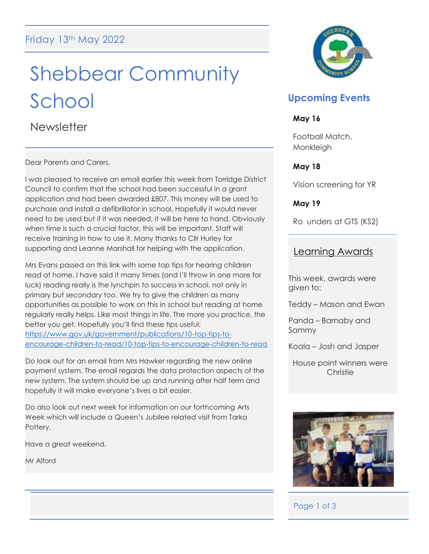# Shebbear Community School

**Newsletter** 

Dear Parents and Carers,

I was pleased to receive an email earlier this week from Torridge District Council to confirm that the school had been successful in a grant application and had been awarded £807. This money will be used to purchase and install a defibrillator in school. Hopefully it would never need to be used but if it was needed, it will be here to hand. Obviously when time is such a crucial factor, this will be important. Staff will receive training in how to use it. Many thanks to Cllr Hurley for supporting and Leanne Marshall for helping with the application.

Mrs Evans passed on this link with some top tips for hearing children read at home. I have said it many times (and I'll throw in one more for luck) reading really is the lynchpin to success in school, not only in primary but secondary too. We try to give the children as many opportunities as possible to work on this in school but reading at home regularly really helps. Like most things in life. The more you practice, the better you get. Hopefully you'll find these tips useful: [https://www.gov.uk/government/publications/10-top-tips-to](https://www.gov.uk/government/publications/10-top-tips-to-encourage-children-to-read/10-top-tips-to-encourage-children-to-read)[encourage-children-to-read/10-top-tips-to-encourage-children-to-read](https://www.gov.uk/government/publications/10-top-tips-to-encourage-children-to-read/10-top-tips-to-encourage-children-to-read)

Do look out for an email from Mrs Hawker regarding the new online payment system. The email regards the data protection aspects of the new system. The system should be up and running after half term and hopefully it will make everyone's lives a bit easier.

Do also look out next week for information on our forthcoming Arts Week which will include a Queen's Jubilee related visit from Tarka Pottery.

Have a great weekend.

Mr Alford



# **Upcoming Events**

### **May 16**

Football Match, Monkleigh

### **May 18**

Vision screening for YR

**May 19**

Ro unders at GTS (KS2)

### Learning Awards

This week, awards were given to:

Teddy – Mason and Ewan

Panda – Barnaby and Sammy

Koala – Josh and Jasper

House point winners were **Christie** 



## Page 1 of 3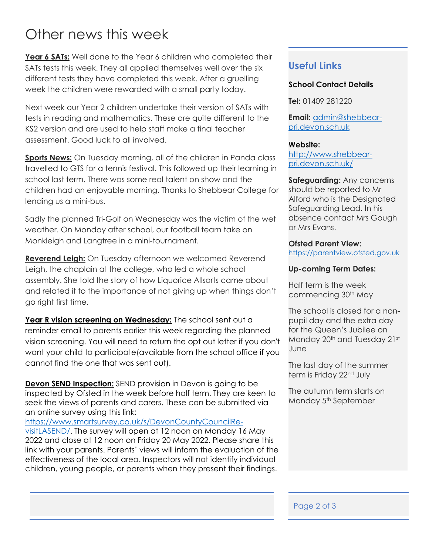# Other news this week

Year 6 SATs: Well done to the Year 6 children who completed their SATs tests this week. They all applied themselves well over the six different tests they have completed this week. After a gruelling week the children were rewarded with a small party today.

Next week our Year 2 children undertake their version of SATs with tests in reading and mathematics. These are quite different to the KS2 version and are used to help staff make a final teacher assessment. Good luck to all involved.

**Sports News:** On Tuesday morning, all of the children in Panda class travelled to GTS for a tennis festival. This followed up their learning in school last term. There was some real talent on show and the children had an enjoyable morning. Thanks to Shebbear College for lending us a mini-bus.

Sadly the planned Tri-Golf on Wednesday was the victim of the wet weather. On Monday after school, our football team take on Monkleigh and Langtree in a mini-tournament.

**Reverend Leigh:** On Tuesday afternoon we welcomed Reverend Leigh, the chaplain at the college, who led a whole school assembly. She told the story of how Liquorice Allsorts came about and related it to the importance of not giving up when things don't go right first time.

**Year R vision screening on Wednesday:** The school sent out a reminder email to parents earlier this week regarding the planned vision screening. You will need to return the opt out letter if you don't want your child to participate(available from the school office if you cannot find the one that was sent out).

**Devon SEND Inspection:** SEND provision in Devon is going to be inspected by Ofsted in the week before half term. They are keen to seek the views of parents and carers. These can be submitted via an online survey using this link:

[https://www.smartsurvey.co.uk/s/DevonCountyCouncilRe-](https://www.smartsurvey.co.uk/s/DevonCountyCouncilRe-visitLASEND/)

[visitLASEND/.](https://www.smartsurvey.co.uk/s/DevonCountyCouncilRe-visitLASEND/) The survey will open at 12 noon on Monday 16 May 2022 and close at 12 noon on Friday 20 May 2022. Please share this link with your parents. Parents' views will inform the evaluation of the effectiveness of the local area. Inspectors will not identify individual children, young people, or parents when they present their findings.

### **Useful Links**

### **School Contact Details**

**Tel:** 01409 281220

**Email:** [admin@shebbear](mailto:admin@shebbear-pri.devon.sch.uk)[pri.devon.sch.uk](mailto:admin@shebbear-pri.devon.sch.uk)

### **Website:**

[http://www.shebbear](http://www.shebbear-pri.devon.sch.uk/)[pri.devon.sch.uk/](http://www.shebbear-pri.devon.sch.uk/)

**Safeguarding:** Any concerns should be reported to Mr Alford who is the Designated Safeguarding Lead. In his absence contact Mrs Gough or Mrs Evans.

#### **Ofsted Parent View:**

[https://parentview.ofsted.gov.uk](https://parentview.ofsted.gov.uk/)

### **Up-coming Term Dates:**

Half term is the week commencing 30<sup>th</sup> May

The school is closed for a nonpupil day and the extra day for the Queen's Jubilee on Monday 20<sup>th</sup> and Tuesday 21st June

The last day of the summer term is Friday 22<sup>nd</sup> July

The autumn term starts on Monday 5<sup>th</sup> September